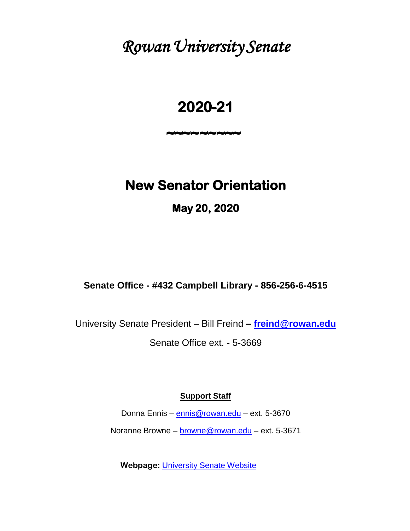*Rowan University Senate* 

# **2020-21**

**~~~~~~~~~** 

# **New Senator Orientation**

**May 20, 2020** 

**Senate Office - #432 Campbell Library - 856-256-6-4515**

University Senate President – Bill Freind **– f[reind@rowan.edu](mailto:freind@rowan.edu)**

Senate Office ext. - 5-3669

# **Support Staff**

Donna Ennis – [ennis@rowan.edu](mailto:ennis@rowan.edu) – ext. 5-3670

Noranne Browne – [browne@rowan.edu](mailto:browne@rowan.edu) – ext. 5-3671

**Webpage:** [University Senate Website](https://sites.rowan.edu/senate/)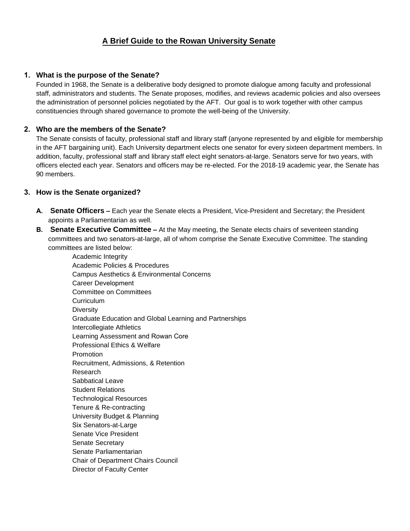# **A Brief Guide to the Rowan University Senate**

# **1. What is the purpose of the Senate?**

Founded in 1968, the Senate is a deliberative body designed to promote dialogue among faculty and professional staff, administrators and students. The Senate proposes, modifies, and reviews academic policies and also oversees the administration of personnel policies negotiated by the AFT. Our goal is to work together with other campus constituencies through shared governance to promote the well-being of the University.

# **2. Who are the members of the Senate?**

The Senate consists of faculty, professional staff and library staff (anyone represented by and eligible for membership in the AFT bargaining unit). Each University department elects one senator for every sixteen department members. In addition, faculty, professional staff and library staff elect eight senators-at-large. Senators serve for two years, with officers elected each year. Senators and officers may be re-elected. For the 2018-19 academic year, the Senate has 90 members.

# **3. How is the Senate organized?**

- **A. Senate Officers –** Each year the Senate elects a President, Vice-President and Secretary; the President appoints a Parliamentarian as well.
- **B. Senate Executive Committee –** At the May meeting, the Senate elects chairs of seventeen standing committees and two senators-at-large, all of whom comprise the Senate Executive Committee. The standing committees are listed below:

Academic Integrity Academic Policies & Procedures Campus Aesthetics & Environmental Concerns Career Development Committee on Committees Curriculum **Diversity** Graduate Education and Global Learning and Partnerships Intercollegiate Athletics Learning Assessment and Rowan Core Professional Ethics & Welfare Promotion Recruitment, Admissions, & Retention Research Sabbatical Leave Student Relations Technological Resources Tenure & Re-contracting University Budget & Planning Six Senators-at-Large Senate Vice President Senate Secretary Senate Parliamentarian Chair of Department Chairs Council Director of Faculty Center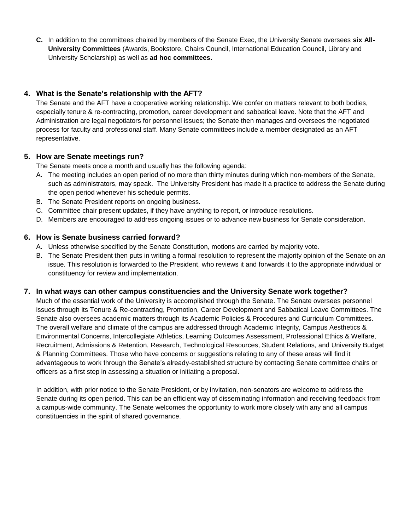**C.** In addition to the committees chaired by members of the Senate Exec, the University Senate oversees **six All-University Committees** (Awards, Bookstore, Chairs Council, International Education Council, Library and University Scholarship) as well as **ad hoc committees.**

# **4. What is the Senate's relationship with the AFT?**

The Senate and the AFT have a cooperative working relationship. We confer on matters relevant to both bodies, especially tenure & re-contracting, promotion, career development and sabbatical leave. Note that the AFT and Administration are legal negotiators for personnel issues; the Senate then manages and oversees the negotiated process for faculty and professional staff. Many Senate committees include a member designated as an AFT representative.

# **5. How are Senate meetings run?**

The Senate meets once a month and usually has the following agenda:

- A. The meeting includes an open period of no more than thirty minutes during which non-members of the Senate, such as administrators, may speak. The University President has made it a practice to address the Senate during the open period whenever his schedule permits.
- B. The Senate President reports on ongoing business.
- C. Committee chair present updates, if they have anything to report, or introduce resolutions.
- D. Members are encouraged to address ongoing issues or to advance new business for Senate consideration.

# **6. How is Senate business carried forward?**

- A. Unless otherwise specified by the Senate Constitution, motions are carried by majority vote.
- B. The Senate President then puts in writing a formal resolution to represent the majority opinion of the Senate on an issue. This resolution is forwarded to the President, who reviews it and forwards it to the appropriate individual or constituency for review and implementation.

# **7. In what ways can other campus constituencies and the University Senate work together?**

Much of the essential work of the University is accomplished through the Senate. The Senate oversees personnel issues through its Tenure & Re-contracting, Promotion, Career Development and Sabbatical Leave Committees. The Senate also oversees academic matters through its Academic Policies & Procedures and Curriculum Committees. The overall welfare and climate of the campus are addressed through Academic Integrity, Campus Aesthetics & Environmental Concerns, Intercollegiate Athletics, Learning Outcomes Assessment, Professional Ethics & Welfare, Recruitment, Admissions & Retention, Research, Technological Resources, Student Relations, and University Budget & Planning Committees. Those who have concerns or suggestions relating to any of these areas will find it advantageous to work through the Senate's already-established structure by contacting Senate committee chairs or officers as a first step in assessing a situation or initiating a proposal.

In addition, with prior notice to the Senate President, or by invitation, non-senators are welcome to address the Senate during its open period. This can be an efficient way of disseminating information and receiving feedback from a campus-wide community. The Senate welcomes the opportunity to work more closely with any and all campus constituencies in the spirit of shared governance.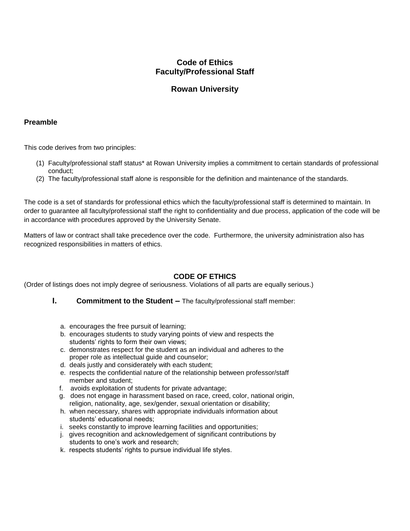# **Code of Ethics Faculty/Professional Staff**

# **Rowan University**

#### **Preamble**

This code derives from two principles:

- (1) Faculty/professional staff status\* at Rowan University implies a commitment to certain standards of professional conduct;
- (2) The faculty/professional staff alone is responsible for the definition and maintenance of the standards.

The code is a set of standards for professional ethics which the faculty/professional staff is determined to maintain. In order to guarantee all faculty/professional staff the right to confidentiality and due process, application of the code will be in accordance with procedures approved by the University Senate.

Matters of law or contract shall take precedence over the code. Furthermore, the university administration also has recognized responsibilities in matters of ethics.

# **CODE OF ETHICS**

(Order of listings does not imply degree of seriousness. Violations of all parts are equally serious.)

- **I. Commitment to the Student** The faculty/professional staff member:
	- a. encourages the free pursuit of learning;
	- b. encourages students to study varying points of view and respects the students' rights to form their own views;
	- c. demonstrates respect for the student as an individual and adheres to the proper role as intellectual guide and counselor;
	- d. deals justly and considerately with each student;
	- e. respects the confidential nature of the relationship between professor/staff member and student;
	- f. avoids exploitation of students for private advantage;
	- g. does not engage in harassment based on race, creed, color, national origin, religion, nationality, age, sex/gender, sexual orientation or disability;
	- h. when necessary, shares with appropriate individuals information about students' educational needs;
	- i. seeks constantly to improve learning facilities and opportunities;
	- j. gives recognition and acknowledgement of significant contributions by students to one's work and research;
	- k. respects students' rights to pursue individual life styles.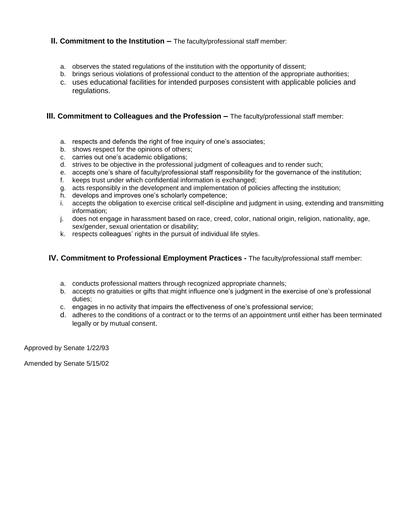### **II. Commitment to the Institution –** The faculty/professional staff member:

- a. observes the stated regulations of the institution with the opportunity of dissent;
- b. brings serious violations of professional conduct to the attention of the appropriate authorities;
- c. uses educational facilities for intended purposes consistent with applicable policies and regulations.

#### **III. Commitment to Colleagues and the Profession –** The faculty/professional staff member:

- a. respects and defends the right of free inquiry of one's associates;
- b. shows respect for the opinions of others;
- c. carries out one's academic obligations;
- d. strives to be objective in the professional judgment of colleagues and to render such;
- e. accepts one's share of faculty/professional staff responsibility for the governance of the institution;
- f. keeps trust under which confidential information is exchanged;
- g. acts responsibly in the development and implementation of policies affecting the institution;
- h. develops and improves one's scholarly competence;
- i. accepts the obligation to exercise critical self-discipline and judgment in using, extending and transmitting information;
- j. does not engage in harassment based on race, creed, color, national origin, religion, nationality, age, sex/gender, sexual orientation or disability;
- k. respects colleagues' rights in the pursuit of individual life styles.

#### **IV. Commitment to Professional Employment Practices -** The faculty/professional staff member:

- a. conducts professional matters through recognized appropriate channels;
- b. accepts no gratuities or gifts that might influence one's judgment in the exercise of one's professional duties;
- c. engages in no activity that impairs the effectiveness of one's professional service;
- d. adheres to the conditions of a contract or to the terms of an appointment until either has been terminated legally or by mutual consent.

Approved by Senate 1/22/93

Amended by Senate 5/15/02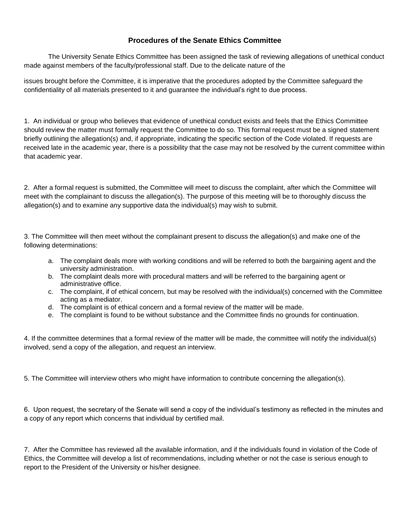# **Procedures of the Senate Ethics Committee**

The University Senate Ethics Committee has been assigned the task of reviewing allegations of unethical conduct made against members of the faculty/professional staff. Due to the delicate nature of the

issues brought before the Committee, it is imperative that the procedures adopted by the Committee safeguard the confidentiality of all materials presented to it and guarantee the individual's right to due process.

1. An individual or group who believes that evidence of unethical conduct exists and feels that the Ethics Committee should review the matter must formally request the Committee to do so. This formal request must be a signed statement briefly outlining the allegation(s) and, if appropriate, indicating the specific section of the Code violated. If requests are received late in the academic year, there is a possibility that the case may not be resolved by the current committee within that academic year.

2. After a formal request is submitted, the Committee will meet to discuss the complaint, after which the Committee will meet with the complainant to discuss the allegation(s). The purpose of this meeting will be to thoroughly discuss the allegation(s) and to examine any supportive data the individual(s) may wish to submit.

3. The Committee will then meet without the complainant present to discuss the allegation(s) and make one of the following determinations:

- a. The complaint deals more with working conditions and will be referred to both the bargaining agent and the university administration.
- b. The complaint deals more with procedural matters and will be referred to the bargaining agent or administrative office.
- c. The complaint, if of ethical concern, but may be resolved with the individual(s) concerned with the Committee acting as a mediator.
- d. The complaint is of ethical concern and a formal review of the matter will be made.
- e. The complaint is found to be without substance and the Committee finds no grounds for continuation.

4. If the committee determines that a formal review of the matter will be made, the committee will notify the individual(s) involved, send a copy of the allegation, and request an interview.

5. The Committee will interview others who might have information to contribute concerning the allegation(s).

6. Upon request, the secretary of the Senate will send a copy of the individual's testimony as reflected in the minutes and a copy of any report which concerns that individual by certified mail.

7. After the Committee has reviewed all the available information, and if the individuals found in violation of the Code of Ethics, the Committee will develop a list of recommendations, including whether or not the case is serious enough to report to the President of the University or his/her designee.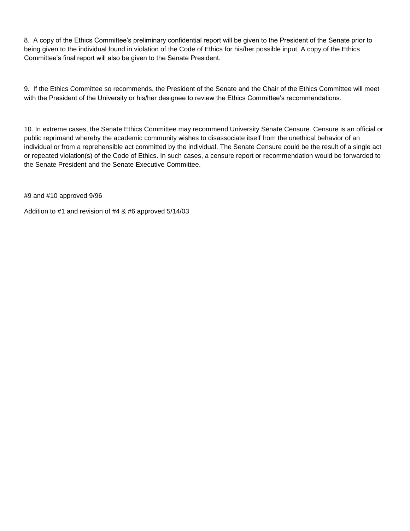8. A copy of the Ethics Committee's preliminary confidential report will be given to the President of the Senate prior to being given to the individual found in violation of the Code of Ethics for his/her possible input. A copy of the Ethics Committee's final report will also be given to the Senate President.

9. If the Ethics Committee so recommends, the President of the Senate and the Chair of the Ethics Committee will meet with the President of the University or his/her designee to review the Ethics Committee's recommendations.

10. In extreme cases, the Senate Ethics Committee may recommend University Senate Censure. Censure is an official or public reprimand whereby the academic community wishes to disassociate itself from the unethical behavior of an individual or from a reprehensible act committed by the individual. The Senate Censure could be the result of a single act or repeated violation(s) of the Code of Ethics. In such cases, a censure report or recommendation would be forwarded to the Senate President and the Senate Executive Committee.

#9 and #10 approved 9/96

Addition to #1 and revision of #4 & #6 approved 5/14/03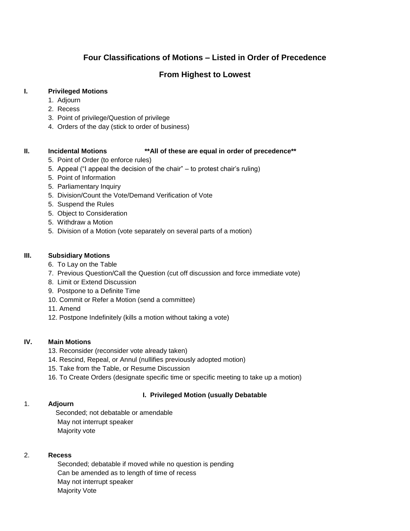# **Four Classifications of Motions – Listed in Order of Precedence**

# **From Highest to Lowest**

#### **I. Privileged Motions**

- 1. Adjourn
- 2. Recess
- 3. Point of privilege/Question of privilege
- 4. Orders of the day (stick to order of business)

#### **II. Incidental Motions \*\*All of these are equal in order of precedence\*\***

- 5. Point of Order (to enforce rules)
- 5. Appeal ("I appeal the decision of the chair" to protest chair's ruling)
- 5. Point of Information
- 5. Parliamentary Inquiry
- 5. Division/Count the Vote/Demand Verification of Vote
- 5. Suspend the Rules
- 5. Object to Consideration
- 5. Withdraw a Motion
- 5. Division of a Motion (vote separately on several parts of a motion)

#### **III. Subsidiary Motions**

- 6. To Lay on the Table
- 7. Previous Question/Call the Question (cut off discussion and force immediate vote)
- 8. Limit or Extend Discussion
- 9. Postpone to a Definite Time
- 10. Commit or Refer a Motion (send a committee)
- 11. Amend
- 12. Postpone Indefinitely (kills a motion without taking a vote)

#### **IV. Main Motions**

- 13. Reconsider (reconsider vote already taken)
- 14. Rescind, Repeal, or Annul (nullifies previously adopted motion)
- 15. Take from the Table, or Resume Discussion
- 16. To Create Orders (designate specific time or specific meeting to take up a motion)

# **I. Privileged Motion (usually Debatable**

# 1. **Adjourn**

 Seconded; not debatable or amendable May not interrupt speaker Majority vote

#### 2. **Recess**

 Seconded; debatable if moved while no question is pending Can be amended as to length of time of recess May not interrupt speaker Majority Vote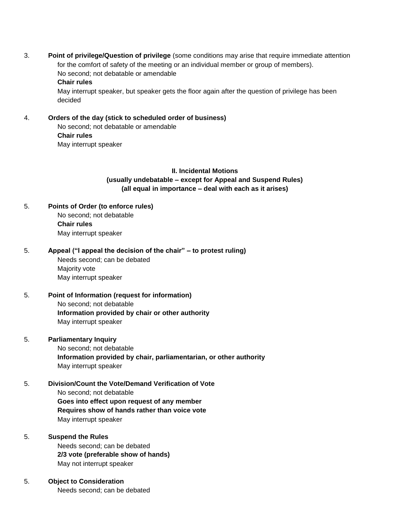3. **Point of privilege/Question of privilege** (some conditions may arise that require immediate attention for the comfort of safety of the meeting or an individual member or group of members). No second; not debatable or amendable **Chair rules** 

 May interrupt speaker, but speaker gets the floor again after the question of privilege has been decided

4. **Orders of the day (stick to scheduled order of business)** No second; not debatable or amendable  **Chair rules** May interrupt speaker

#### **II. Incidental Motions (usually undebatable – except for Appeal and Suspend Rules) (all equal in importance – deal with each as it arises)**

- 5. **Points of Order (to enforce rules)** No second; not debatable **Chair rules** May interrupt speaker
- 5. **Appeal ("I appeal the decision of the chair" to protest ruling)** Needs second; can be debated Majority vote May interrupt speaker
- 5. **Point of Information (request for information)** No second; not debatable  **Information provided by chair or other authority** May interrupt speaker

#### 5. **Parliamentary Inquiry**

 No second; not debatable **Information provided by chair, parliamentarian, or other authority** May interrupt speaker

5. **Division/Count the Vote/Demand Verification of Vote** No second; not debatable **Goes into effect upon request of any member Requires show of hands rather than voice vote** May interrupt speaker

#### 5. **Suspend the Rules**

 Needs second; can be debated **2/3 vote (preferable show of hands)** May not interrupt speaker

5. **Object to Consideration** Needs second; can be debated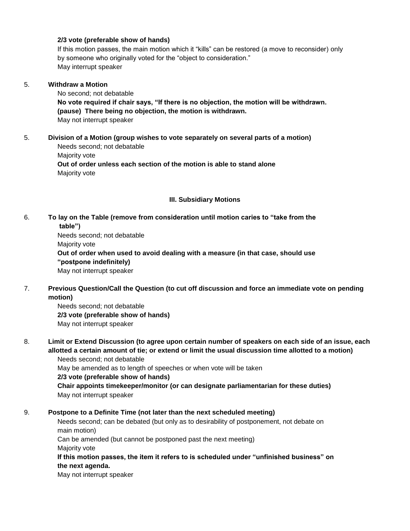#### **2/3 vote (preferable show of hands)**

 If this motion passes, the main motion which it "kills" can be restored (a move to reconsider) only by someone who originally voted for the "object to consideration." May interrupt speaker

#### 5. **Withdraw a Motion**

 No second; not debatable **No vote required if chair says, "If there is no objection, the motion will be withdrawn. (pause) There being no objection, the motion is withdrawn.** May not interrupt speaker

#### 5. **Division of a Motion (group wishes to vote separately on several parts of a motion)** Needs second; not debatable Majority vote

 **Out of order unless each section of the motion is able to stand alone** Majority vote

#### **III. Subsidiary Motions**

#### 6. **To lay on the Table (remove from consideration until motion caries to "take from the table")**

Needs second; not debatable Majority vote **Out of order when used to avoid dealing with a measure (in that case, should use "postpone indefinitely)**  May not interrupt speaker

7. **Previous Question/Call the Question (to cut off discussion and force an immediate vote on pending motion)**

 Needs second; not debatable **2/3 vote (preferable show of hands)** May not interrupt speaker

#### 8. **Limit or Extend Discussion (to agree upon certain number of speakers on each side of an issue, each allotted a certain amount of tie; or extend or limit the usual discussion time allotted to a motion)** Needs second; not debatable

May be amended as to length of speeches or when vote will be taken

**2/3 vote (preferable show of hands)** 

 **Chair appoints timekeeper/monitor (or can designate parliamentarian for these duties)** May not interrupt speaker

#### 9. **Postpone to a Definite Time (not later than the next scheduled meeting)**

 Needs second; can be debated (but only as to desirability of postponement, not debate on main motion)

Can be amended (but cannot be postponed past the next meeting)

Majority vote

 **If this motion passes, the item it refers to is scheduled under "unfinished business" on the next agenda.** 

May not interrupt speaker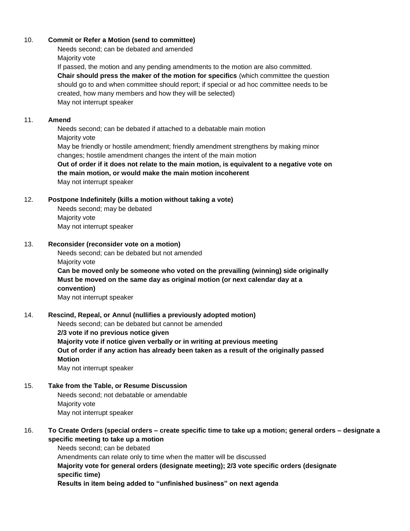#### 10. **Commit or Refer a Motion (send to committee)**

 Needs second; can be debated and amended Majority vote

 If passed, the motion and any pending amendments to the motion are also committed. **Chair should press the maker of the motion for specifics** (which committee the question should go to and when committee should report; if special or ad hoc committee needs to be created, how many members and how they will be selected) May not interrupt speaker

#### 11. **Amend**

 Needs second; can be debated if attached to a debatable main motion Majority vote May be friendly or hostile amendment; friendly amendment strengthens by making minor changes; hostile amendment changes the intent of the main motion **Out of order if it does not relate to the main motion, is equivalent to a negative vote on the main motion, or would make the main motion incoherent**  May not interrupt speaker

#### 12. **Postpone Indefinitely (kills a motion without taking a vote)**

 Needs second; may be debated Majority vote May not interrupt speaker

#### 13. **Reconsider (reconsider vote on a motion)**

 Needs second; can be debated but not amended Majority vote

 **Can be moved only be someone who voted on the prevailing (winning) side originally Must be moved on the same day as original motion (or next calendar day at a convention)**  May not interrupt speaker

#### 14. **Rescind, Repeal, or Annul (nullifies a previously adopted motion)**

Needs second; can be debated but cannot be amended

**2/3 vote if no previous notice given** 

 **Majority vote if notice given verbally or in writing at previous meeting Out of order if any action has already been taken as a result of the originally passed Motion** 

May not interrupt speaker

#### 15. **Take from the Table, or Resume Discussion**

 Needs second; not debatable or amendable Majority vote May not interrupt speaker

#### 16. **To Create Orders (special orders – create specific time to take up a motion; general orders – designate a specific meeting to take up a motion**

 Needs second; can be debated Amendments can relate only to time when the matter will be discussed  **Majority vote for general orders (designate meeting); 2/3 vote specific orders (designate specific time) Results in item being added to "unfinished business" on next agenda**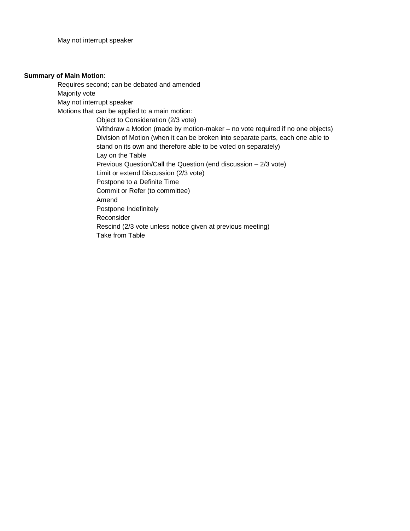#### **Summary of Main Motion**:

Requires second; can be debated and amended Majority vote May not interrupt speaker Motions that can be applied to a main motion: Object to Consideration (2/3 vote) Withdraw a Motion (made by motion-maker – no vote required if no one objects) Division of Motion (when it can be broken into separate parts, each one able to stand on its own and therefore able to be voted on separately) Lay on the Table Previous Question/Call the Question (end discussion – 2/3 vote) Limit or extend Discussion (2/3 vote) Postpone to a Definite Time Commit or Refer (to committee) Amend Postpone Indefinitely Reconsider Rescind (2/3 vote unless notice given at previous meeting) Take from Table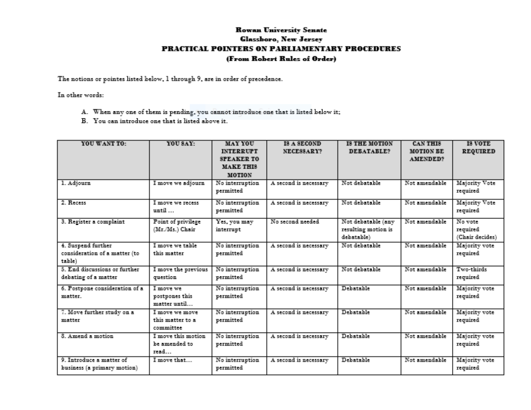# **Rowan University Senate Glassboro, New Jersey** PRACTICAL POINTERS ON PARLIAMENTARY PROCEDURES (From Robert Rules of Order)

The notions or pointes listed below, 1 through 9, are in order of precedence.

In other words:

- A. When any one of them is pending, you cannot introduce one that is listed below it;
- B. You can introduce one that is listed above it.

| YOU WANT TO:                                                  | YOU SAY:                                        | <b>MAY YOU</b><br><b>INTERRUPT</b><br><b>SPEAKER TO</b> | IS A SECOND<br>NECESSARY? | <b>18 THE MOTION</b><br>DEBATABLE?                      | <b>CAN THIS</b><br><b>MOTION BE</b><br><b>AMENDED?</b> | <b>IS VOTE</b><br><b>REQUIRED</b>      |
|---------------------------------------------------------------|-------------------------------------------------|---------------------------------------------------------|---------------------------|---------------------------------------------------------|--------------------------------------------------------|----------------------------------------|
|                                                               |                                                 | <b>MAKE THIS</b><br><b>MOTION</b>                       |                           |                                                         |                                                        |                                        |
| 1. Adjourn                                                    | I move we adjourn                               | No interruption<br>permitted                            | A second is necessary     | Not debatable                                           | Not amendable                                          | Majority Vote<br>required              |
| 2. Recess                                                     | I move we recess<br>until                       | No interruption<br>permitted                            | A second is necessary     | Not debatable                                           | Not amendable                                          | Majority Vote<br>required              |
| 3. Register a complaint                                       | Point of privilege<br>$(Mr.Ms.)$ Chair          | Yes, you may<br>interrupt                               | No second needed          | Not debatable (any<br>resulting motion is<br>debatable) | Not amendable                                          | No vote<br>required<br>(Chair decides) |
| 4. Suspend further<br>consideration of a matter (to<br>table) | I move we table<br>this matter                  | No interruption<br>permitted                            | A second is necessary     | Not debatable                                           | Not amendable                                          | Majority vote<br>required              |
| 5. End discussions or further<br>debating of a matter         | I move the previous<br>question                 | No interruption<br>permitted                            | A second is necessary     | Not debatable                                           | Not amendable                                          | Two-thirds<br>required                 |
| 6. Postpone consideration of a<br>matter.                     | I move we<br>postpones this<br>matter until     | No interruption<br>permitted                            | A second is necessary     | Debatable                                               | Not amendable                                          | Majority vote<br>required              |
| 7. Move further study on a<br>matter                          | I move we move<br>this matter to a<br>committee | No interruption<br>permitted                            | A second is necessary     | Debatable                                               | Not amendable                                          | Majority vote<br>required              |
| 8. Amend a motion                                             | I move this motion.<br>he amended to<br>read    | No interruption<br>permitted                            | A second is necessary     | Debatable                                               | Not amendable                                          | Majority vote<br>required              |
| 9. Introduce a matter of<br>business (a primary motion)       | I move that                                     | No interruption<br>permitted                            | A second is necessary     | Debatable                                               | Not amendable                                          | Majority vote<br>required              |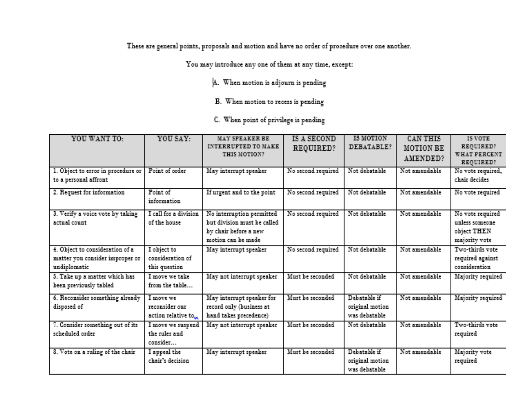These are general points, proposals and motion and have no order of procedure over one another.

You may introduce any one of them at any time, except:

- A. When motion is adjourn is pending
- B. When motion to recess is pending
- C. When point of privilege is pending

| YOU WANT TO:                                                                       | YOU SAY:                                          | MAY SPEAKER BE<br><b>INTERRUPTED TO MAKE</b><br>THIS MOTION?                                              | <b>IS A SECOND</b><br>REQUIRED? | <b>IS MOTION</b><br><b>DEBATABLE?</b>              | <b>CANTHIS</b><br><b>MOTION BE</b><br><b>AMENDED?</b> | IS VOTE<br>REQUIRED?<br>WHAT FERCENT<br><b>REQUIRED?</b>            |
|------------------------------------------------------------------------------------|---------------------------------------------------|-----------------------------------------------------------------------------------------------------------|---------------------------------|----------------------------------------------------|-------------------------------------------------------|---------------------------------------------------------------------|
| 1. Object to error in procedure or<br>to a personal affront                        | Point of order                                    | May interrupt speaker                                                                                     | No second required              | Not debatable                                      | Not amendable                                         | No vote required,<br>chair decides                                  |
| 2. Request for information.                                                        | <b>Point of</b><br>information                    | If urgent and to the point                                                                                | No second required              | Not debatable                                      | Not amendable.                                        | No vote required                                                    |
| 3. Verify a voice vote by taking<br>actual count.                                  | I call for a division<br>of the house.            | No interruption permitted<br>but division must be called.<br>by chair before a new<br>motion can be made. | No second required              | Not debatable                                      | Not amendable                                         | No vote required<br>unless someone.<br>object THEN<br>majority vote |
| 4. Object to consideration of a<br>matter you consider improper or<br>undiplomatic | I object to<br>consideration of<br>this question. | May interrupt speaker                                                                                     | No second required              | Not debatable                                      | Not amendable.                                        | Two-thirds vote<br>required against<br>consideration                |
| 5. Take up a matter which has<br>been previously tabled                            | I recover you tailor<br>from the table            | May not interrupt speaker                                                                                 | Must be seconded                | Not debatable                                      | Not amendable                                         | Majority required                                                   |
| 6. Reconsider something already<br>disposed of                                     | I move we<br>reconsider our<br>action relative to | May interrupt speaker for<br>record only (business at<br>hand takes precedence).                          | Must be seconded                | Debatable if<br>original motion.<br>was debatable. | Not amendable                                         | Majority required                                                   |
| 7. Consider something out of its<br>scheduled order                                | I move we suspend<br>the rules and<br>consider    | May not interrupt speaker                                                                                 | Must be seconded.               | Not debatable                                      | Not amendable                                         | Two-thirds vote<br>required                                         |
| 8. Vote on a ruling of the chair                                                   | I appeal the<br>chair's decision                  | May interrupt speaker                                                                                     | Must be seconded.               | Dehatable if<br>original motion.<br>was debatable. | Not amendable                                         | Majority vote<br>required                                           |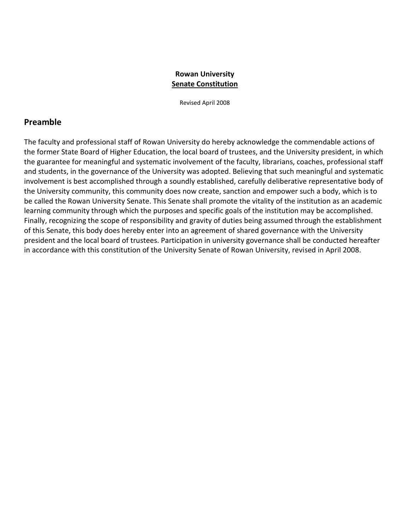### **Rowan University Senate Constitution**

Revised April 2008

# **Preamble**

The faculty and professional staff of Rowan University do hereby acknowledge the commendable actions of the former State Board of Higher Education, the local board of trustees, and the University president, in which the guarantee for meaningful and systematic involvement of the faculty, librarians, coaches, professional staff and students, in the governance of the University was adopted. Believing that such meaningful and systematic involvement is best accomplished through a soundly established, carefully deliberative representative body of the University community, this community does now create, sanction and empower such a body, which is to be called the Rowan University Senate. This Senate shall promote the vitality of the institution as an academic learning community through which the purposes and specific goals of the institution may be accomplished. Finally, recognizing the scope of responsibility and gravity of duties being assumed through the establishment of this Senate, this body does hereby enter into an agreement of shared governance with the University president and the local board of trustees. Participation in university governance shall be conducted hereafter in accordance with this constitution of the University Senate of Rowan University, revised in April 2008.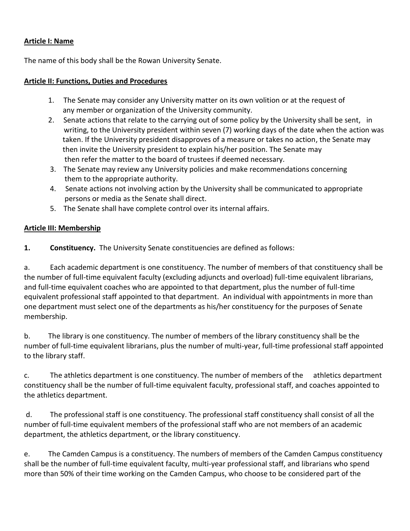# **Article I: Name**

The name of this body shall be the Rowan University Senate.

# **Article II: Functions, Duties and Procedures**

- 1. The Senate may consider any University matter on its own volition or at the request of any member or organization of the University community.
- 2. Senate actions that relate to the carrying out of some policy by the University shall be sent, in writing, to the University president within seven (7) working days of the date when the action was taken. If the University president disapproves of a measure or takes no action, the Senate may then invite the University president to explain his/her position. The Senate may then refer the matter to the board of trustees if deemed necessary.
- 3. The Senate may review any University policies and make recommendations concerning them to the appropriate authority.
- 4. Senate actions not involving action by the University shall be communicated to appropriate persons or media as the Senate shall direct.
- 5. The Senate shall have complete control over its internal affairs.

# **Article III: Membership**

**1. Constituency.** The University Senate constituencies are defined as follows:

a. Each academic department is one constituency. The number of members of that constituency shall be the number of full-time equivalent faculty (excluding adjuncts and overload) full-time equivalent librarians, and full-time equivalent coaches who are appointed to that department, plus the number of full-time equivalent professional staff appointed to that department. An individual with appointments in more than one department must select one of the departments as his/her constituency for the purposes of Senate membership.

b. The library is one constituency. The number of members of the library constituency shall be the number of full-time equivalent librarians, plus the number of multi-year, full-time professional staff appointed to the library staff.

c. The athletics department is one constituency. The number of members of the athletics department constituency shall be the number of full-time equivalent faculty, professional staff, and coaches appointed to the athletics department.

d. The professional staff is one constituency. The professional staff constituency shall consist of all the number of full-time equivalent members of the professional staff who are not members of an academic department, the athletics department, or the library constituency.

e. The Camden Campus is a constituency. The numbers of members of the Camden Campus constituency shall be the number of full-time equivalent faculty, multi-year professional staff, and librarians who spend more than 50% of their time working on the Camden Campus, who choose to be considered part of the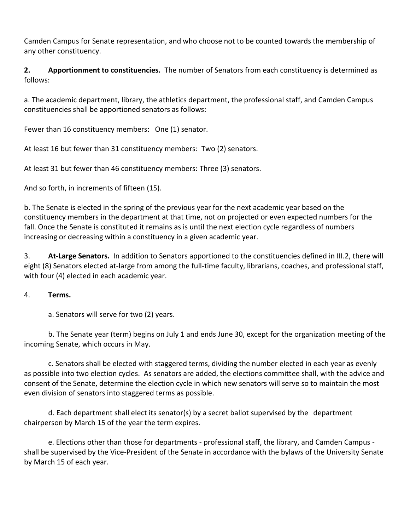Camden Campus for Senate representation, and who choose not to be counted towards the membership of any other constituency.

**2. Apportionment to constituencies.** The number of Senators from each constituency is determined as follows:

a. The academic department, library, the athletics department, the professional staff, and Camden Campus constituencies shall be apportioned senators as follows:

Fewer than 16 constituency members: One (1) senator.

At least 16 but fewer than 31 constituency members: Two (2) senators.

At least 31 but fewer than 46 constituency members: Three (3) senators.

And so forth, in increments of fifteen (15).

b. The Senate is elected in the spring of the previous year for the next academic year based on the constituency members in the department at that time, not on projected or even expected numbers for the fall. Once the Senate is constituted it remains as is until the next election cycle regardless of numbers increasing or decreasing within a constituency in a given academic year.

3. **At-Large Senators.** In addition to Senators apportioned to the constituencies defined in III.2, there will eight (8) Senators elected at-large from among the full-time faculty, librarians, coaches, and professional staff, with four (4) elected in each academic year.

# 4. **Terms.**

a. Senators will serve for two (2) years.

b. The Senate year (term) begins on July 1 and ends June 30, except for the organization meeting of the incoming Senate, which occurs in May.

c. Senators shall be elected with staggered terms, dividing the number elected in each year as evenly as possible into two election cycles. As senators are added, the elections committee shall, with the advice and consent of the Senate, determine the election cycle in which new senators will serve so to maintain the most even division of senators into staggered terms as possible.

d. Each department shall elect its senator(s) by a secret ballot supervised by the department chairperson by March 15 of the year the term expires.

e. Elections other than those for departments - professional staff, the library, and Camden Campus shall be supervised by the Vice-President of the Senate in accordance with the bylaws of the University Senate by March 15 of each year.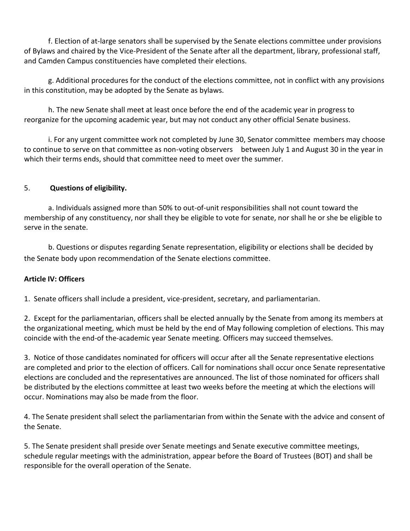f. Election of at-large senators shall be supervised by the Senate elections committee under provisions of Bylaws and chaired by the Vice-President of the Senate after all the department, library, professional staff, and Camden Campus constituencies have completed their elections.

g. Additional procedures for the conduct of the elections committee, not in conflict with any provisions in this constitution, may be adopted by the Senate as bylaws.

h. The new Senate shall meet at least once before the end of the academic year in progress to reorganize for the upcoming academic year, but may not conduct any other official Senate business.

i. For any urgent committee work not completed by June 30, Senator committee members may choose to continue to serve on that committee as non-voting observers between July 1 and August 30 in the year in which their terms ends, should that committee need to meet over the summer.

# 5. **Questions of eligibility.**

a. Individuals assigned more than 50% to out-of-unit responsibilities shall not count toward the membership of any constituency, nor shall they be eligible to vote for senate, nor shall he or she be eligible to serve in the senate.

b. Questions or disputes regarding Senate representation, eligibility or elections shall be decided by the Senate body upon recommendation of the Senate elections committee.

# **Article IV: Officers**

1. Senate officers shall include a president, vice-president, secretary, and parliamentarian.

2. Except for the parliamentarian, officers shall be elected annually by the Senate from among its members at the organizational meeting, which must be held by the end of May following completion of elections. This may coincide with the end-of the-academic year Senate meeting. Officers may succeed themselves.

3. Notice of those candidates nominated for officers will occur after all the Senate representative elections are completed and prior to the election of officers. Call for nominations shall occur once Senate representative elections are concluded and the representatives are announced. The list of those nominated for officers shall be distributed by the elections committee at least two weeks before the meeting at which the elections will occur. Nominations may also be made from the floor.

4. The Senate president shall select the parliamentarian from within the Senate with the advice and consent of the Senate.

5. The Senate president shall preside over Senate meetings and Senate executive committee meetings, schedule regular meetings with the administration, appear before the Board of Trustees (BOT) and shall be responsible for the overall operation of the Senate.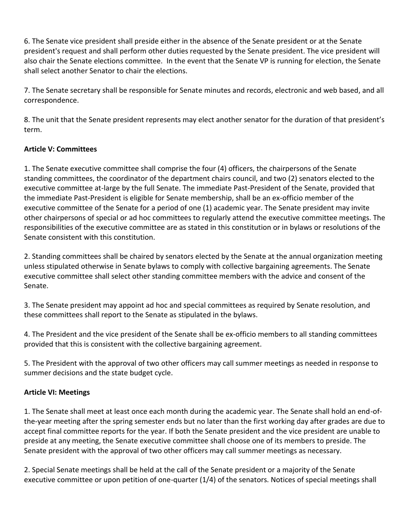6. The Senate vice president shall preside either in the absence of the Senate president or at the Senate president's request and shall perform other duties requested by the Senate president. The vice president will also chair the Senate elections committee. In the event that the Senate VP is running for election, the Senate shall select another Senator to chair the elections.

7. The Senate secretary shall be responsible for Senate minutes and records, electronic and web based, and all correspondence.

8. The unit that the Senate president represents may elect another senator for the duration of that president's term.

# **Article V: Committees**

1. The Senate executive committee shall comprise the four (4) officers, the chairpersons of the Senate standing committees, the coordinator of the department chairs council, and two (2) senators elected to the executive committee at-large by the full Senate. The immediate Past-President of the Senate, provided that the immediate Past-President is eligible for Senate membership, shall be an ex-officio member of the executive committee of the Senate for a period of one (1) academic year. The Senate president may invite other chairpersons of special or ad hoc committees to regularly attend the executive committee meetings. The responsibilities of the executive committee are as stated in this constitution or in bylaws or resolutions of the Senate consistent with this constitution.

2. Standing committees shall be chaired by senators elected by the Senate at the annual organization meeting unless stipulated otherwise in Senate bylaws to comply with collective bargaining agreements. The Senate executive committee shall select other standing committee members with the advice and consent of the Senate.

3. The Senate president may appoint ad hoc and special committees as required by Senate resolution, and these committees shall report to the Senate as stipulated in the bylaws.

4. The President and the vice president of the Senate shall be ex-officio members to all standing committees provided that this is consistent with the collective bargaining agreement.

5. The President with the approval of two other officers may call summer meetings as needed in response to summer decisions and the state budget cycle.

# **Article VI: Meetings**

1. The Senate shall meet at least once each month during the academic year. The Senate shall hold an end-ofthe-year meeting after the spring semester ends but no later than the first working day after grades are due to accept final committee reports for the year. If both the Senate president and the vice president are unable to preside at any meeting, the Senate executive committee shall choose one of its members to preside. The Senate president with the approval of two other officers may call summer meetings as necessary.

2. Special Senate meetings shall be held at the call of the Senate president or a majority of the Senate executive committee or upon petition of one-quarter (1/4) of the senators. Notices of special meetings shall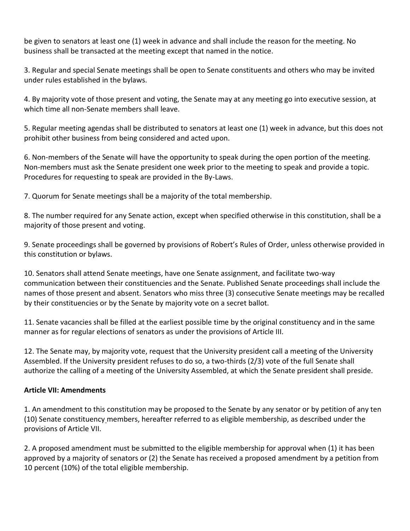be given to senators at least one (1) week in advance and shall include the reason for the meeting. No business shall be transacted at the meeting except that named in the notice.

3. Regular and special Senate meetings shall be open to Senate constituents and others who may be invited under rules established in the bylaws.

4. By majority vote of those present and voting, the Senate may at any meeting go into executive session, at which time all non-Senate members shall leave.

5. Regular meeting agendas shall be distributed to senators at least one (1) week in advance, but this does not prohibit other business from being considered and acted upon.

6. Non-members of the Senate will have the opportunity to speak during the open portion of the meeting. Non-members must ask the Senate president one week prior to the meeting to speak and provide a topic. Procedures for requesting to speak are provided in the By-Laws.

7. Quorum for Senate meetings shall be a majority of the total membership.

8. The number required for any Senate action, except when specified otherwise in this constitution, shall be a majority of those present and voting.

9. Senate proceedings shall be governed by provisions of Robert's Rules of Order, unless otherwise provided in this constitution or bylaws.

10. Senators shall attend Senate meetings, have one Senate assignment, and facilitate two-way communication between their constituencies and the Senate. Published Senate proceedings shall include the names of those present and absent. Senators who miss three (3) consecutive Senate meetings may be recalled by their constituencies or by the Senate by majority vote on a secret ballot.

11. Senate vacancies shall be filled at the earliest possible time by the original constituency and in the same manner as for regular elections of senators as under the provisions of Article III.

12. The Senate may, by majority vote, request that the University president call a meeting of the University Assembled. If the University president refuses to do so, a two-thirds (2/3) vote of the full Senate shall authorize the calling of a meeting of the University Assembled, at which the Senate president shall preside.

# **Article VII: Amendments**

1. An amendment to this constitution may be proposed to the Senate by any senator or by petition of any ten (10) Senate constituency members, hereafter referred to as eligible membership, as described under the provisions of Article VII.

2. A proposed amendment must be submitted to the eligible membership for approval when (1) it has been approved by a majority of senators or (2) the Senate has received a proposed amendment by a petition from 10 percent (10%) of the total eligible membership.